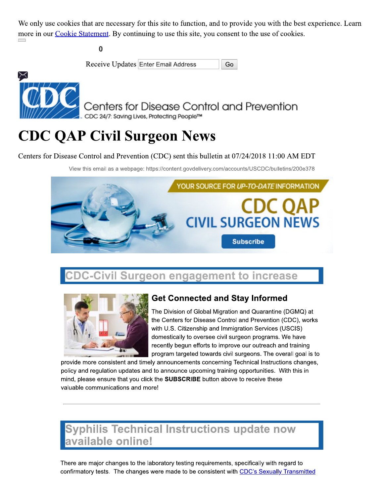We only use cookies that are necessary for this site to function, and to provide you with the best experience. Learn more in our *Cookie Statement*. By continuing to use this site, you consent to the use of cookies.

 $\bf{0}$ 



Receive Updates Enter Email Address Go

Centers for Disease Control and Prevention CDC 24/7: Saving Lives, Protecting People™

# **CDC QAP Civil Surgeon News**

Centers for Disease Control and Prevention (CDC) sent this bulletin at 07/24/2018 11:00 AM EDT

View this email as a webpage: https://content.govdelivery.com/accounts/USCDC/bulletins/200e378



## **CDC-Civil Surgeon engagement to increase**



### **Get Connected and Stay Informed**

The Division of Global Migration and Quarantine (DGMQ) at the Centers for Disease Control and Prevention (CDC), works with U.S. Citizenship and Immigration Services (USCIS) domestically to oversee civil surgeon programs. We have recently begun efforts to improve our outreach and training program targeted towards civil surgeons. The overall goal is to

provide more consistent and timely announcements concerning Technical Instructions changes, policy and regulation updates and to announce upcoming training opportunities. With this in mind, please ensure that you click the SUBSCRIBE button above to receive these valuable communications and more!

## **Syphilis Technical Instructions update now** available online!

There are major changes to the laboratory testing requirements, specifically with regard to confirmatory tests. The changes were made to be consistent with CDC's Sexually Transmitted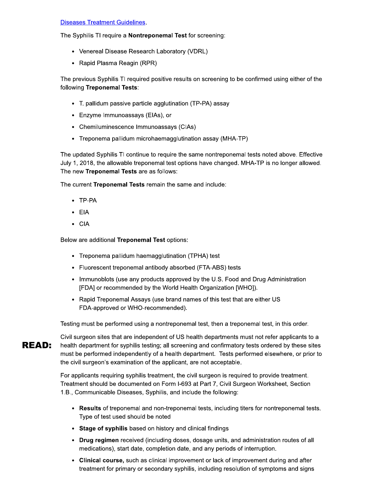#### **Diseases Treatment Guidelines**

The Syphilis TI require a Nontreponemal Test for screening:

- Venereal Disease Research Laboratory (VDRL)
- Rapid Plasma Reagin (RPR)

The previous Syphilis TI required positive results on screening to be confirmed using either of the following Treponemal Tests:

- T. pallidum passive particle agglutination (TP-PA) assay
- Enzyme Immunoassays (EIAs), or
- Chemiluminescence Immunoassays (CIAs)
- Treponema pallidum microhaemagglutination assay (MHA-TP)

The updated Syphilis TI continue to require the same nontreponemal tests noted above. Effective July 1, 2018, the allowable treponemal test options have changed. MHA-TP is no longer allowed. The new Treponemal Tests are as follows:

The current Treponemal Tests remain the same and include:

- TP-PA
- $\cdot$  EIA
- $\bullet$  CIA

Below are additional Treponemal Test options:

- Treponema pallidum haemagglutination (TPHA) test
- Fluorescent treponemal antibody absorbed (FTA-ABS) tests
- Immunoblots (use any products approved by the U.S. Food and Drug Administration [FDA] or recommended by the World Health Organization [WHO]).
- Rapid Treponemal Assays (use brand names of this test that are either US FDA-approved or WHO-recommended).

Testing must be performed using a nontreponemal test, then a treponemal test, in this order.

Civil surgeon sites that are independent of US health departments must not refer applicants to a **READ:** health department for syphilis testing; all screening and confirmatory tests ordered by these sites must be performed independently of a health department. Tests performed elsewhere, or prior to the civil surgeon's examination of the applicant, are not acceptable.

> For applicants requiring syphilis treatment, the civil surgeon is required to provide treatment. Treatment should be documented on Form I-693 at Part 7, Civil Surgeon Worksheet, Section 1.B., Communicable Diseases, Syphilis, and include the following:

- Results of treponemal and non-treponemal tests, including titers for nontreponemal tests. Type of test used should be noted
- Stage of syphilis based on history and clinical findings
- Drug regimen received (including doses, dosage units, and administration routes of all medications), start date, completion date, and any periods of interruption.
- Clinical course, such as clinical improvement or lack of improvement during and after treatment for primary or secondary syphilis, including resolution of symptoms and signs